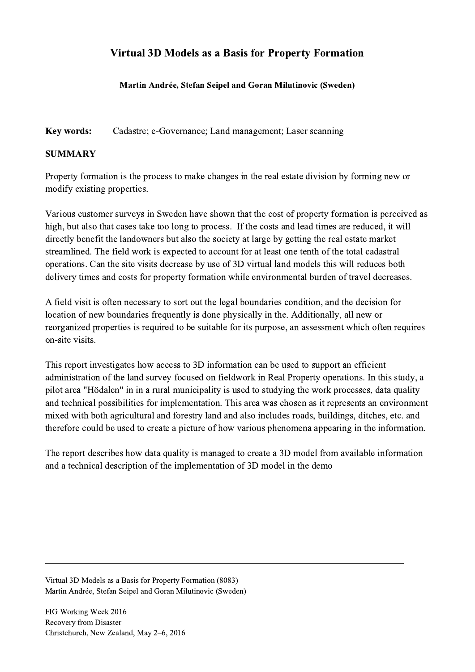## Virtual 3D Models as a Basis for Property Formation

Martin Andrée, Stefan Seipel and Goran Milutinovic (Sweden)

Key words: Cadastre; e-Governance; Land management; Laser scanning

## **SUMMARY**

Property formation is the process to make changes in the real estate division by forming new or modify existing properties.

Various customer surveys in Sweden have shown that the cost of property formation is perceived as high, but also that cases take too long to process. If the costs and lead times are reduced, it will directly benefit the landowners but also the society at large by getting the real estate market streamlined. The field work is expected to account for at least one tenth of the total cadastral operations. Can the site visits decrease by use of 3D virtual land models this will reduces both delivery times and costs for property formation while environmental burden of travel decreases.

A field visit is often necessary to sort out the legal boundaries condition, and the decision for location of new boundaries frequently is done physically in the. Additionally, all new or reorganized properties is required to be suitable for its purpose, an assessment which often requires on-site visits.

This report investigates how access to 3D information can be used to support an efficient administration of the land survey focused on fieldwork in Real Property operations. In this study, a pilot area "Hödalen" in in a rural municipality is used to studying the work processes, data quality and technical possibilities for implementation. This area was chosen as it represents an environment mixed with both agricultural and forestry land and also includes roads, buildings, ditches, etc. and therefore could be used to create a picture of how various phenomena appearing in the information.

The report describes how data quality is managed to create a 3D model from available information and a technical description of the implementation of 3D model in the demo

 $\mathcal{L}_\mathcal{L} = \{ \mathcal{L}_\mathcal{L} = \{ \mathcal{L}_\mathcal{L} = \{ \mathcal{L}_\mathcal{L} = \{ \mathcal{L}_\mathcal{L} = \{ \mathcal{L}_\mathcal{L} = \{ \mathcal{L}_\mathcal{L} = \{ \mathcal{L}_\mathcal{L} = \{ \mathcal{L}_\mathcal{L} = \{ \mathcal{L}_\mathcal{L} = \{ \mathcal{L}_\mathcal{L} = \{ \mathcal{L}_\mathcal{L} = \{ \mathcal{L}_\mathcal{L} = \{ \mathcal{L}_\mathcal{L} = \{ \mathcal{L}_\mathcal{$ 

Virtual 3D Models as a Basis for Property Formation (8083) Martin Andrée, Stefan Seipel and Goran Milutinovic (Sweden)

FIG Working Week 2016 Recovery from Disaster Christchurch, New Zealand, May 2–6, 2016